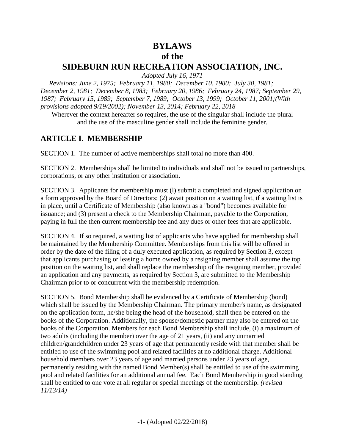#### **BYLAWS of the SIDEBURN RUN RECREATION ASSOCIATION, INC.**

*Adopted July 16, 1971*

 *Revisions: June 2, 1975; February 11, 1980; December 10, 1980; July 30, 1981; December 2, 1981; December 8, 1983; February 20, 1986; February 24, 1987; September 29, 1987; February 15, 1989; September 7, 1989; October 13, 1999; October 11, 2001;(With provisions adopted 9/19/2002); November 13, 2014; February 22, 2018*

Wherever the context hereafter so requires, the use of the singular shall include the plural and the use of the masculine gender shall include the feminine gender.

#### **ARTICLE I. MEMBERSHIP**

SECTION 1. The number of active memberships shall total no more than 400.

SECTION 2. Memberships shall be limited to individuals and shall not be issued to partnerships, corporations, or any other institution or association.

SECTION 3. Applicants for membership must (l) submit a completed and signed application on a form approved by the Board of Directors; (2) await position on a waiting list, if a waiting list is in place, until a Certificate of Membership (also known as a "bond") becomes available for issuance; and (3) present a check to the Membership Chairman, payable to the Corporation, paying in full the then current membership fee and any dues or other fees that are applicable.

SECTION 4. If so required, a waiting list of applicants who have applied for membership shall be maintained by the Membership Committee. Memberships from this list will be offered in order by the date of the filing of a duly executed application, as required by Section 3, except that applicants purchasing or leasing a home owned by a resigning member shall assume the top position on the waiting list, and shall replace the membership of the resigning member, provided an application and any payments, as required by Section 3, are submitted to the Membership Chairman prior to or concurrent with the membership redemption.

SECTION 5. Bond Membership shall be evidenced by a Certificate of Membership (bond) which shall be issued by the Membership Chairman. The primary member's name, as designated on the application form, he/she being the head of the household, shall then be entered on the books of the Corporation. Additionally, the spouse/domestic partner may also be entered on the books of the Corporation. Members for each Bond Membership shall include, (i) a maximum of two adults (including the member) over the age of 21 years, (ii) and any unmarried children/grandchildren under 23 years of age that permanently reside with that member shall be entitled to use of the swimming pool and related facilities at no additional charge. Additional household members over 23 years of age and married persons under 23 years of age, permanently residing with the named Bond Member(s) shall be entitled to use of the swimming pool and related facilities for an additional annual fee. Each Bond Membership in good standing shall be entitled to one vote at all regular or special meetings of the membership. *(revised 11/13/14)*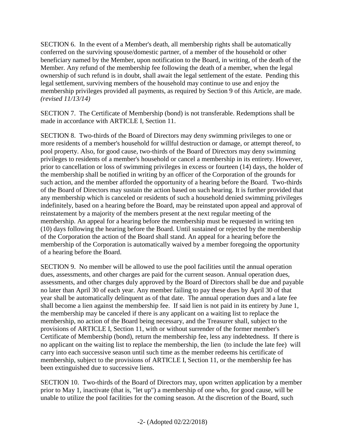SECTION 6. In the event of a Member's death, all membership rights shall be automatically conferred on the surviving spouse/domestic partner, of a member of the household or other beneficiary named by the Member, upon notification to the Board, in writing, of the death of the Member. Any refund of the membership fee following the death of a member, when the legal ownership of such refund is in doubt, shall await the legal settlement of the estate. Pending this legal settlement, surviving members of the household may continue to use and enjoy the membership privileges provided all payments, as required by Section 9 of this Article, are made. *(revised 11/13/14)*

SECTION 7. The Certificate of Membership (bond) is not transferable. Redemptions shall be made in accordance with ARTICLE I, Section 11.

SECTION 8. Two-thirds of the Board of Directors may deny swimming privileges to one or more residents of a member's household for willful destruction or damage, or attempt thereof, to pool property. Also, for good cause, two-thirds of the Board of Directors may deny swimming privileges to residents of a member's household or cancel a membership in its entirety. However, prior to cancellation or loss of swimming privileges in excess or fourteen (14) days, the holder of the membership shall be notified in writing by an officer of the Corporation of the grounds for such action, and the member afforded the opportunity of a hearing before the Board. Two-thirds of the Board of Directors may sustain the action based on such hearing. It is further provided that any membership which is canceled or residents of such a household denied swimming privileges indefinitely, based on a hearing before the Board, may be reinstated upon appeal and approval of reinstatement by a majority of the members present at the next regular meeting of the membership. An appeal for a hearing before the membership must be requested in writing ten (10) days following the hearing before the Board. Until sustained or rejected by the membership of the Corporation the action of the Board shall stand. An appeal for a hearing before the membership of the Corporation is automatically waived by a member foregoing the opportunity of a hearing before the Board.

SECTION 9. No member will be allowed to use the pool facilities until the annual operation dues, assessments, and other charges are paid for the current season. Annual operation dues, assessments, and other charges duly approved by the Board of Directors shall be due and payable no later than April 30 of each year. Any member failing to pay these dues by April 30 of that year shall be automatically delinquent as of that date. The annual operation dues and a late fee shall become a lien against the membership fee. If said lien is not paid in its entirety by June 1, the membership may be canceled if there is any applicant on a waiting list to replace the membership, no action of the Board being necessary, and the Treasurer shall, subject to the provisions of ARTICLE I, Section 11, with or without surrender of the former member's Certificate of Membership (bond), return the membership fee, less any indebtedness. If there is no applicant on the waiting list to replace the membership, the lien (to include the late fee) will carry into each successive season until such time as the member redeems his certificate of membership, subject to the provisions of ARTICLE I, Section 11, or the membership fee has been extinguished due to successive liens.

SECTION 10. Two-thirds of the Board of Directors may, upon written application by a member prior to May 1, inactivate (that is, "let up") a membership of one who, for good cause, will be unable to utilize the pool facilities for the coming season. At the discretion of the Board, such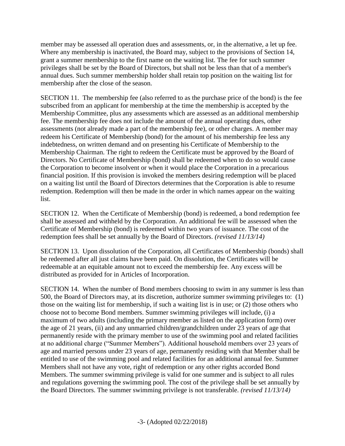member may be assessed all operation dues and assessments, or, in the alternative, a let up fee. Where any membership is inactivated, the Board may, subject to the provisions of Section 14, grant a summer membership to the first name on the waiting list. The fee for such summer privileges shall be set by the Board of Directors, but shall not be less than that of a member's annual dues. Such summer membership holder shall retain top position on the waiting list for membership after the close of the season.

SECTION 11. The membership fee (also referred to as the purchase price of the bond) is the fee subscribed from an applicant for membership at the time the membership is accepted by the Membership Committee, plus any assessments which are assessed as an additional membership fee. The membership fee does not include the amount of the annual operating dues, other assessments (not already made a part of the membership fee), or other charges. A member may redeem his Certificate of Membership (bond) for the amount of his membership fee less any indebtedness, on written demand and on presenting his Certificate of Membership to the Membership Chairman. The right to redeem the Certificate must be approved by the Board of Directors. No Certificate of Membership (bond) shall be redeemed when to do so would cause the Corporation to become insolvent or when it would place the Corporation in a precarious financial position. If this provision is invoked the members desiring redemption will be placed on a waiting list until the Board of Directors determines that the Corporation is able to resume redemption. Redemption will then be made in the order in which names appear on the waiting list.

SECTION 12. When the Certificate of Membership (bond) is redeemed, a bond redemption fee shall be assessed and withheld by the Corporation. An additional fee will be assessed when the Certificate of Membership (bond) is redeemed within two years of issuance. The cost of the redemption fees shall be set annually by the Board of Directors. *(revised 11/13/14)*

SECTION 13. Upon dissolution of the Corporation, all Certificates of Membership (bonds) shall be redeemed after all just claims have been paid. On dissolution, the Certificates will be redeemable at an equitable amount not to exceed the membership fee. Any excess will be distributed as provided for in Articles of Incorporation.

SECTION 14. When the number of Bond members choosing to swim in any summer is less than 500, the Board of Directors may, at its discretion, authorize summer swimming privileges to: (1) those on the waiting list for membership, if such a waiting list is in use; or (2) those others who choose not to become Bond members. Summer swimming privileges will include, (i) a maximum of two adults (including the primary member as listed on the application form) over the age of 21 years, (ii) and any unmarried children/grandchildren under 23 years of age that permanently reside with the primary member to use of the swimming pool and related facilities at no additional charge ("Summer Members"). Additional household members over 23 years of age and married persons under 23 years of age, permanently residing with that Member shall be entitled to use of the swimming pool and related facilities for an additional annual fee. Summer Members shall not have any vote, right of redemption or any other rights accorded Bond Members. The summer swimming privilege is valid for one summer and is subject to all rules and regulations governing the swimming pool. The cost of the privilege shall be set annually by the Board Directors. The summer swimming privilege is not transferable. *(revised 11/13/14)*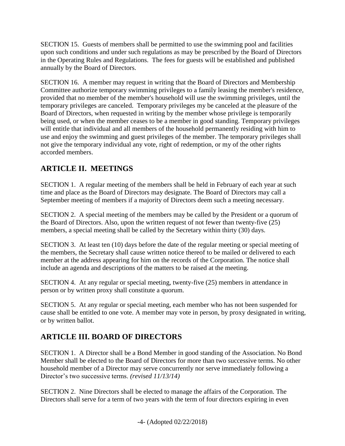SECTION 15. Guests of members shall be permitted to use the swimming pool and facilities upon such conditions and under such regulations as may be prescribed by the Board of Directors in the Operating Rules and Regulations. The fees for guests will be established and published annually by the Board of Directors.

SECTION 16. A member may request in writing that the Board of Directors and Membership Committee authorize temporary swimming privileges to a family leasing the member's residence, provided that no member of the member's household will use the swimming privileges, until the temporary privileges are canceled. Temporary privileges my be canceled at the pleasure of the Board of Directors, when requested in writing by the member whose privilege is temporarily being used, or when the member ceases to be a member in good standing. Temporary privileges will entitle that individual and all members of the household permanently residing with him to use and enjoy the swimming and guest privileges of the member. The temporary privileges shall not give the temporary individual any vote, right of redemption, or my of the other rights accorded members.

#### **ARTICLE II. MEETINGS**

SECTION 1. A regular meeting of the members shall be held in February of each year at such time and place as the Board of Directors may designate. The Board of Directors may call a September meeting of members if a majority of Directors deem such a meeting necessary.

SECTION 2. A special meeting of the members may be called by the President or a quorum of the Board of Directors. Also, upon the written request of not fewer than twenty-five (25) members, a special meeting shall be called by the Secretary within thirty (30) days.

SECTION 3. At least ten (10) days before the date of the regular meeting or special meeting of the members, the Secretary shall cause written notice thereof to be mailed or delivered to each member at the address appearing for him on the records of the Corporation. The notice shall include an agenda and descriptions of the matters to be raised at the meeting.

SECTION 4. At any regular or special meeting, twenty-five (25) members in attendance in person or by written proxy shall constitute a quorum.

SECTION 5. At any regular or special meeting, each member who has not been suspended for cause shall be entitled to one vote. A member may vote in person, by proxy designated in writing, or by written ballot.

# **ARTICLE III. BOARD OF DIRECTORS**

SECTION 1. A Director shall be a Bond Member in good standing of the Association. No Bond Member shall be elected to the Board of Directors for more than two successive terms. No other household member of a Director may serve concurrently nor serve immediately following a Director's two successive terms. *(revised 11/13/14)*

SECTION 2. Nine Directors shall be elected to manage the affairs of the Corporation. The Directors shall serve for a term of two years with the term of four directors expiring in even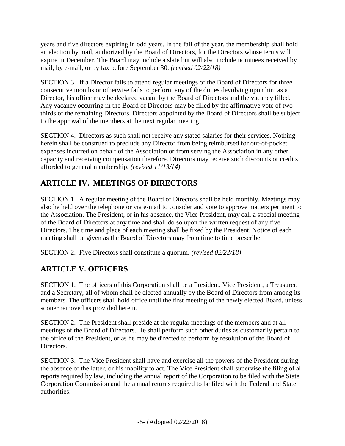years and five directors expiring in odd years. In the fall of the year, the membership shall hold an election by mail, authorized by the Board of Directors, for the Directors whose terms will expire in December. The Board may include a slate but will also include nominees received by mail, by e-mail, or by fax before September 30. *(revised 02/22/18)*

SECTION 3. If a Director fails to attend regular meetings of the Board of Directors for three consecutive months or otherwise fails to perform any of the duties devolving upon him as a Director, his office may be declared vacant by the Board of Directors and the vacancy filled. Any vacancy occurring in the Board of Directors may be filled by the affirmative vote of twothirds of the remaining Directors. Directors appointed by the Board of Directors shall be subject to the approval of the members at the next regular meeting.

SECTION 4. Directors as such shall not receive any stated salaries for their services. Nothing herein shall be construed to preclude any Director from being reimbursed for out-of-pocket expenses incurred on behalf of the Association or from serving the Association in any other capacity and receiving compensation therefore. Directors may receive such discounts or credits afforded to general membership. *(revised 11/13/14)*

# **ARTICLE IV. MEETINGS OF DIRECTORS**

SECTION 1. A regular meeting of the Board of Directors shall be held monthly. Meetings may also he held over the telephone or via e-mail to consider and vote to approve matters pertinent to the Association. The President, or in his absence, the Vice President, may call a special meeting of the Board of Directors at any time and shall do so upon the written request of any five Directors. The time and place of each meeting shall be fixed by the President. Notice of each meeting shall be given as the Board of Directors may from time to time prescribe.

SECTION 2. Five Directors shall constitute a quorum. *(revised 02/22/18)*

## **ARTICLE V. OFFICERS**

SECTION 1. The officers of this Corporation shall be a President, Vice President, a Treasurer, and a Secretary, all of whom shall be elected annually by the Board of Directors from among its members. The officers shall hold office until the first meeting of the newly elected Board, unless sooner removed as provided herein.

SECTION 2. The President shall preside at the regular meetings of the members and at all meetings of the Board of Directors. He shall perform such other duties as customarily pertain to the office of the President, or as he may be directed to perform by resolution of the Board of Directors.

SECTION 3. The Vice President shall have and exercise all the powers of the President during the absence of the latter, or his inability to act. The Vice President shall supervise the filing of all reports required by law, including the annual report of the Corporation to be filed with the State Corporation Commission and the annual returns required to be filed with the Federal and State authorities.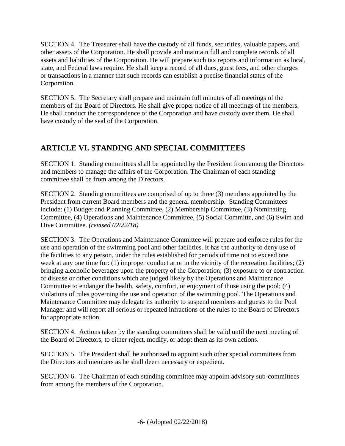SECTION 4. The Treasurer shall have the custody of all funds, securities, valuable papers, and other assets of the Corporation. He shall provide and maintain full and complete records of all assets and liabilities of the Corporation. He will prepare such tax reports and information as local, state, and Federal laws require. He shall keep a record of all dues, guest fees, and other charges or transactions in a manner that such records can establish a precise financial status of the Corporation.

SECTION 5. The Secretary shall prepare and maintain full minutes of all meetings of the members of the Board of Directors. He shall give proper notice of all meetings of the members. He shall conduct the correspondence of the Corporation and have custody over them. He shall have custody of the seal of the Corporation.

## **ARTICLE VI. STANDING AND SPECIAL COMMITTEES**

SECTION 1. Standing committees shall be appointed by the President from among the Directors and members to manage the affairs of the Corporation. The Chairman of each standing committee shall be from among the Directors.

SECTION 2. Standing committees are comprised of up to three (3) members appointed by the President from current Board members and the general membership. Standing Committees include: (1) Budget and Planning Committee, (2) Membership Committee, (3) Nominating Committee, (4) Operations and Maintenance Committee, (5) Social Committe, and (6) Swim and Dive Committee. *(revised 02/22/18)*

SECTION 3. The Operations and Maintenance Committee will prepare and enforce rules for the use and operation of the swimming pool and other facilities. It has the authority to deny use of the facilities to any person, under the rules established for periods of time not to exceed one week at any one time for: (1) improper conduct at or in the vicinity of the recreation facilities; (2) bringing alcoholic beverages upon the property of the Corporation; (3) exposure to or contraction of disease or other conditions which are judged likely by the Operations and Maintenance Committee to endanger the health, safety, comfort, or enjoyment of those using the pool; (4) violations of rules governing the use and operation of the swimming pool. The Operations and Maintenance Committee may delegate its authority to suspend members and guests to the Pool Manager and will report all serious or repeated infractions of the rules to the Board of Directors for appropriate action.

SECTION 4. Actions taken by the standing committees shall be valid until the next meeting of the Board of Directors, to either reject, modify, or adopt them as its own actions.

SECTION 5. The President shall be authorized to appoint such other special committees from the Directors and members as he shall deem necessary or expedient.

SECTION 6. The Chairman of each standing committee may appoint advisory sub-committees from among the members of the Corporation.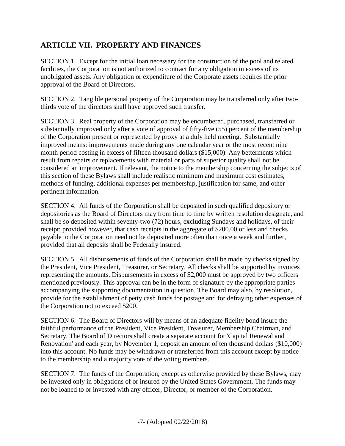#### **ARTICLE VII. PROPERTY AND FINANCES**

SECTION 1. Except for the initial loan necessary for the construction of the pool and related facilities, the Corporation is not authorized to contract for any obligation in excess of its unobligated assets. Any obligation or expenditure of the Corporate assets requires the prior approval of the Board of Directors.

SECTION 2. Tangible personal property of the Corporation may be transferred only after twothirds vote of the directors shall have approved such transfer.

SECTION 3. Real property of the Corporation may be encumbered, purchased, transferred or substantially improved only after a vote of approval of fifty-five (55) percent of the membership of the Corporation present or represented by proxy at a duly held meeting. Substantially improved means: improvements made during any one calendar year or the most recent nine month period costing in excess of fifteen thousand dollars (\$15,000). Any betterments which result from repairs or replacements with material or parts of superior quality shall not be considered an improvement. If relevant, the notice to the membership concerning the subjects of this section of these Bylaws shall include realistic minimum and maximum cost estimates, methods of funding, additional expenses per membership, justification for same, and other pertinent information.

SECTION 4. All funds of the Corporation shall be deposited in such qualified depository or depositories as the Board of Directors may from time to time by written resolution designate, and shall be so deposited within seventy-two (72) hours, excluding Sundays and holidays, of their receipt; provided however, that cash receipts in the aggregate of \$200.00 or less and checks payable to the Corporation need not be deposited more often than once a week and further, provided that all deposits shall be Federally insured.

SECTION 5. All disbursements of funds of the Corporation shall be made by checks signed by the President, Vice President, Treasurer, or Secretary. All checks shall be supported by invoices representing the amounts. Disbursements in excess of \$2,000 must be approved by two officers mentioned previously. This approval can be in the form of signature by the appropriate parties accompanying the supporting documentation in question. The Board may also, by resolution, provide for the establishment of petty cash funds for postage and for defraying other expenses of the Corporation not to exceed \$200.

SECTION 6. The Board of Directors will by means of an adequate fidelity bond insure the faithful performance of the President, Vice President, Treasurer, Membership Chairman, and Secretary. The Board of Directors shall create a separate account for 'Capital Renewal and Renovation' and each year, by November 1, deposit an amount of ten thousand dollars (\$10,000) into this account. No funds may be withdrawn or transferred from this account except by notice to the membership and a majority vote of the voting members.

SECTION 7. The funds of the Corporation, except as otherwise provided by these Bylaws, may be invested only in obligations of or insured by the United States Government. The funds may not be loaned to or invested with any officer, Director, or member of the Corporation.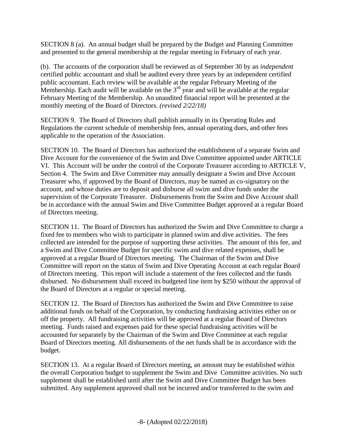SECTION 8 (a). An annual budget shall be prepared by the Budget and Planning Committee and presented to the general membership at the regular meeting in February of each year.

(b). The accounts of the corporation shall be reviewed as of September 30 by an *independent* certified public accountant and shall be audited every three years by an independent certified public accountant. Each review will be available at the regular February Meeting of the Membership. Each audit will be available on the  $3<sup>rd</sup>$  year and will be available at the regular February Meeting of the Membership. An unaudited financial report will be presented at the monthly meeting of the Board of Directors. *(revised 2/22/18)*

SECTION 9. The Board of Directors shall publish annually in its Operating Rules and Regulations the current schedule of membership fees, annual operating dues, and other fees applicable to the operation of the Association.

SECTION 10. The Board of Directors has authorized the establishment of a separate Swim and Dive Account for the convenience of the Swim and Dive Committee appointed under ARTICLE VI. This Account will be under the control of the Corporate Treasurer according to ARTICLE V, Section 4. The Swim and Dive Committee may annually designate a Swim and Dive Account Treasurer who, if approved by the Board of Directors, may be named as co-signatory on the account, and whose duties are to deposit and disburse all swim and dive funds under the supervision of the Corporate Treasurer. Disbursements from the Swim and Dive Account shall be in accordance with the annual Swim and Dive Committee Budget approved at a regular Board of Directors meeting.

SECTION 11. The Board of Directors has authorized the Swim and Dive Committee to charge a fixed fee to members who wish to participate in planned swim and dive activities. The fees collected are intended for the purpose of supporting these activities. The amount of this fee, and a Swim and Dive Committee Budget for specific swim and dive related expenses, shall be approved at a regular Board of Directors meeting. The Chairman of the Swim and Dive Committee will report on the status of Swim and Dive Operating Account at each regular Board of Directors meeting. This report will include a statement of the fees collected and the funds disbursed. No disbursement shall exceed its budgeted line item by \$250 without the approval of the Board of Directors at a regular or special meeting.

SECTION 12. The Board of Directors has authorized the Swim and Dive Committee to raise additional funds on behalf of the Corporation, by conducting fundraising activities either on or off the property. All fundraising activities will be approved at a regular Board of Directors meeting. Funds raised and expenses paid for these special fundraising activities will be accounted for separately by the Chairman of the Swim and Dive Committee at each regular Board of Directors meeting. All disbursements of the net funds shall be in accordance with the budget.

SECTION 13. At a regular Board of Directors meeting, an amount may be established within the overall Corporation budget to supplement the Swim and Dive Committee activities. No such supplement shall be established until after the Swim and Dive Committee Budget has been submitted. Any supplement approved shall not be incurred and/or transferred to the swim and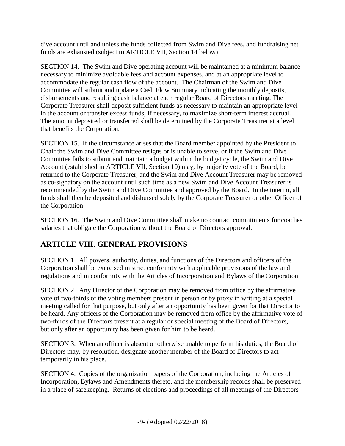dive account until and unless the funds collected from Swim and Dive fees, and fundraising net funds are exhausted (subject to ARTICLE VII, Section 14 below).

SECTION 14. The Swim and Dive operating account will be maintained at a minimum balance necessary to minimize avoidable fees and account expenses, and at an appropriate level to accommodate the regular cash flow of the account. The Chairman of the Swim and Dive Committee will submit and update a Cash Flow Summary indicating the monthly deposits, disbursements and resulting cash balance at each regular Board of Directors meeting. The Corporate Treasurer shall deposit sufficient funds as necessary to maintain an appropriate level in the account or transfer excess funds, if necessary, to maximize short-term interest accrual. The amount deposited or transferred shall be determined by the Corporate Treasurer at a level that benefits the Corporation.

SECTION 15. If the circumstance arises that the Board member appointed by the President to Chair the Swim and Dive Committee resigns or is unable to serve, or if the Swim and Dive Committee fails to submit and maintain a budget within the budget cycle, the Swim and Dive Account (established in ARTICLE VII, Section 10) may, by majority vote of the Board, be returned to the Corporate Treasurer, and the Swim and Dive Account Treasurer may be removed as co-signatory on the account until such time as a new Swim and Dive Account Treasurer is recommended by the Swim and Dive Committee and approved by the Board. In the interim, all funds shall then be deposited and disbursed solely by the Corporate Treasurer or other Officer of the Corporation.

SECTION 16. The Swim and Dive Committee shall make no contract commitments for coaches' salaries that obligate the Corporation without the Board of Directors approval.

## **ARTICLE VIII. GENERAL PROVISIONS**

SECTION 1. All powers, authority, duties, and functions of the Directors and officers of the Corporation shall be exercised in strict conformity with applicable provisions of the law and regulations and in conformity with the Articles of Incorporation and Bylaws of the Corporation.

SECTION 2. Any Director of the Corporation may be removed from office by the affirmative vote of two-thirds of the voting members present in person or by proxy in writing at a special meeting called for that purpose, but only after an opportunity has been given for that Director to be heard. Any officers of the Corporation may be removed from office by the affirmative vote of two-thirds of the Directors present at a regular or special meeting of the Board of Directors, but only after an opportunity has been given for him to be heard.

SECTION 3. When an officer is absent or otherwise unable to perform his duties, the Board of Directors may, by resolution, designate another member of the Board of Directors to act temporarily in his place.

SECTION 4. Copies of the organization papers of the Corporation, including the Articles of Incorporation, Bylaws and Amendments thereto, and the membership records shall be preserved in a place of safekeeping. Returns of elections and proceedings of all meetings of the Directors